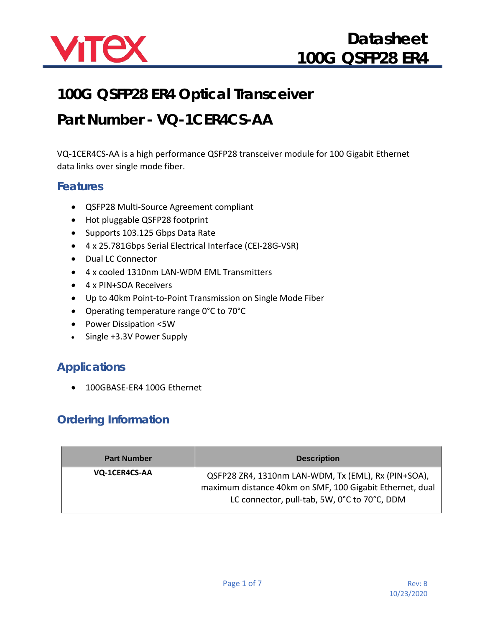

# **100G QSFP28 ER4 Optical Transceiver**

# **Part Number - VQ-1CER4CS-AA**

VQ-1CER4CS-AA is a high performance QSFP28 transceiver module for 100 Gigabit Ethernet data links over single mode fiber.

#### **Features**

- QSFP28 Multi-Source Agreement compliant
- Hot pluggable QSFP28 footprint
- Supports 103.125 Gbps Data Rate
- 4 x 25.781Gbps Serial Electrical Interface (CEI-28G-VSR)
- Dual LC Connector
- 4 x cooled 1310nm LAN-WDM EML Transmitters
- 4 x PIN+SOA Receivers
- Up to 40km Point-to-Point Transmission on Single Mode Fiber
- Operating temperature range 0°C to 70°C
- Power Dissipation <5W
- Single +3.3V Power Supply

#### **Applications**

• 100GBASE-ER4 100G Ethernet

#### **Ordering Information**

| <b>Part Number</b> | <b>Description</b>                                                                                                                                              |
|--------------------|-----------------------------------------------------------------------------------------------------------------------------------------------------------------|
| VQ-1CER4CS-AA      | QSFP28 ZR4, 1310nm LAN-WDM, Tx (EML), Rx (PIN+SOA),<br>maximum distance 40km on SMF, 100 Gigabit Ethernet, dual<br>LC connector, pull-tab, 5W, 0°C to 70°C, DDM |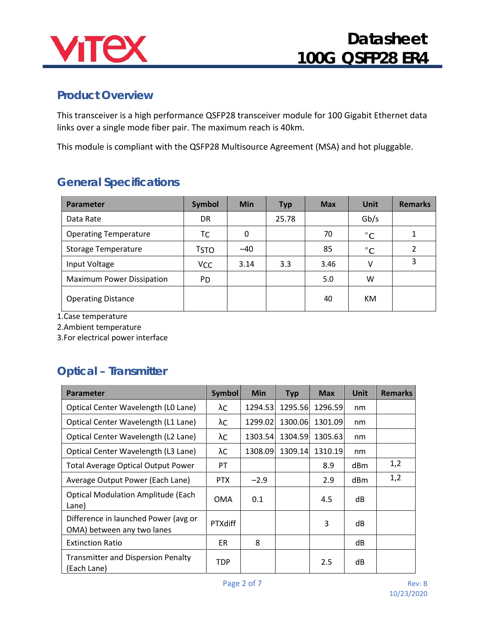

#### **Product Overview**

This transceiver is a high performance QSFP28 transceiver module for 100 Gigabit Ethernet data links over a single mode fiber pair. The maximum reach is 40km.

This module is compliant with the QSFP28 Multisource Agreement (MSA) and hot pluggable.

### **General Specifications**

| <b>Parameter</b>                 | <b>Symbol</b>         | <b>Min</b> | <b>Typ</b> | <b>Max</b> | <b>Unit</b>  | <b>Remarks</b> |
|----------------------------------|-----------------------|------------|------------|------------|--------------|----------------|
| Data Rate                        | DR                    |            | 25.78      |            | Gb/s         |                |
| <b>Operating Temperature</b>     | TC                    | 0          |            | 70         | $^{\circ}$ C | 1              |
| <b>Storage Temperature</b>       | <b>TSTO</b>           | $-40$      |            | 85         | $^{\circ}C$  | $\overline{2}$ |
| Input Voltage                    | <b>V<sub>CC</sub></b> | 3.14       | 3.3        | 3.46       | V            | 3              |
| <b>Maximum Power Dissipation</b> | P <sub>D</sub>        |            |            | 5.0        | W            |                |
| <b>Operating Distance</b>        |                       |            |            | 40         | КM           |                |

1.Case temperature

2.Ambient temperature

3.For electrical power interface

#### **Optical – Transmitter**

| <b>Parameter</b>                                                   | <b>Symbol</b>  | <b>Min</b> | <b>Typ</b> | <b>Max</b> | <b>Unit</b>     | <b>Remarks</b> |
|--------------------------------------------------------------------|----------------|------------|------------|------------|-----------------|----------------|
| Optical Center Wavelength (LO Lane)                                | λC             | 1294.53    | 1295.56    | 1296.59    | nm              |                |
| Optical Center Wavelength (L1 Lane)                                | λC             | 1299.02    | 1300.06    | 1301.09    | nm              |                |
| Optical Center Wavelength (L2 Lane)                                | λC             | 1303.54    | 1304.59    | 1305.63    | nm              |                |
| Optical Center Wavelength (L3 Lane)                                | λC             | 1308.09    | 1309.14    | 1310.19    | nm              |                |
| <b>Total Average Optical Output Power</b>                          | PT.            |            |            | 8.9        | dBm             | 1,2            |
| Average Output Power (Each Lane)                                   | <b>PTX</b>     | $-2.9$     |            | 2.9        | dB <sub>m</sub> | 1,2            |
| <b>Optical Modulation Amplitude (Each</b><br>Lane)                 | <b>OMA</b>     | 0.1        |            | 4.5        | dB              |                |
| Difference in launched Power (avg or<br>OMA) between any two lanes | <b>PTXdiff</b> |            |            | 3          | dB              |                |
| <b>Extinction Ratio</b>                                            | <b>ER</b>      | 8          |            |            | dB              |                |
| <b>Transmitter and Dispersion Penalty</b><br>(Each Lane)           | <b>TDP</b>     |            |            | 2.5        | dB              |                |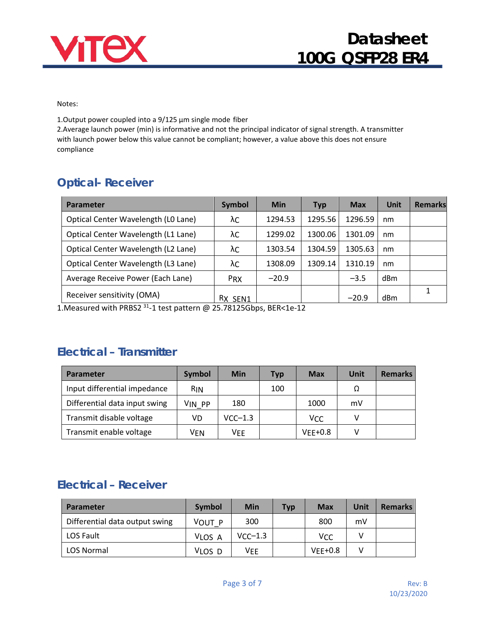

Notes:

1. Output power coupled into a  $9/125$   $\mu$ m single mode fiber

2.Average launch power (min) is informative and not the principal indicator of signal strength. A transmitter with launch power below this value cannot be compliant; however, a value above this does not ensure compliance

## **Optical- Receiver**

| <b>Parameter</b>                    | <b>Symbol</b> | Min     | <b>Typ</b> | <b>Max</b> | Unit            | <b>Remarks</b> |
|-------------------------------------|---------------|---------|------------|------------|-----------------|----------------|
| Optical Center Wavelength (LO Lane) | λC            | 1294.53 | 1295.56    | 1296.59    | nm              |                |
| Optical Center Wavelength (L1 Lane) | λC            | 1299.02 | 1300.06    | 1301.09    | nm              |                |
| Optical Center Wavelength (L2 Lane) | λC            | 1303.54 | 1304.59    | 1305.63    | nm              |                |
| Optical Center Wavelength (L3 Lane) | λC            | 1308.09 | 1309.14    | 1310.19    | nm              |                |
| Average Receive Power (Each Lane)   | <b>PRX</b>    | $-20.9$ |            | $-3.5$     | dB <sub>m</sub> |                |
| Receiver sensitivity (OMA)          | RX SEN1       |         |            | $-20.9$    | dBm             | 1              |

1.Measured with PRBS2 31-1 test pattern @ 25.78125Gbps, BER<1e-12

#### **Electrical – Transmitter**

| <b>Parameter</b>              | Symbol     | <b>Min</b> | Typ | <b>Max</b> | Unit | <b>Remarks</b> |
|-------------------------------|------------|------------|-----|------------|------|----------------|
| Input differential impedance  | <b>RIN</b> |            | 100 |            | Ω    |                |
| Differential data input swing | VIN PP     | 180        |     | 1000       | mV   |                |
| Transmit disable voltage      | VD         | $VCC-1.3$  |     | VCC        | v    |                |
| Transmit enable voltage       | VEN        | Vee        |     | $VEE+0.8$  | v    |                |

### **Electrical – Receiver**

| Parameter                      | <b>Symbol</b> | Min       | <b>Typ</b> | <b>Max</b> | Unit | <b>Remarks</b> |
|--------------------------------|---------------|-----------|------------|------------|------|----------------|
| Differential data output swing | VOUT P        | 300       |            | 800        | mV   |                |
| <b>LOS Fault</b>               | VLOS A        | $VCC-1.3$ |            | VCC        |      |                |
| LOS Normal                     | VLOS D        | Vee       |            | $VFF+0.8$  |      |                |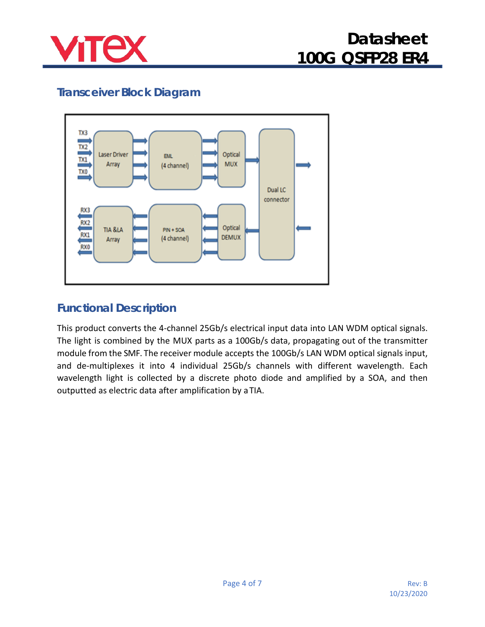

## **Transceiver Block Diagram**



#### **Functional Description**

This product converts the 4-channel 25Gb/s electrical input data into LAN WDM optical signals. The light is combined by the MUX parts as a 100Gb/s data, propagating out of the transmitter module from the SMF. The receiver module accepts the 100Gb/s LAN WDM optical signals input, and de-multiplexes it into 4 individual 25Gb/s channels with different wavelength. Each wavelength light is collected by a discrete photo diode and amplified by a SOA, and then outputted as electric data after amplification by aTIA.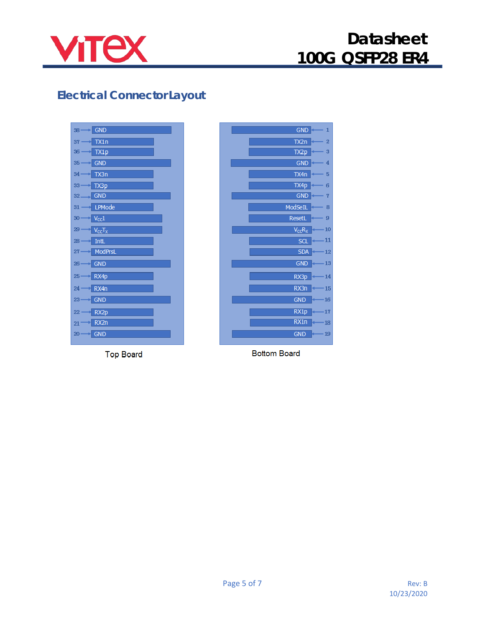

## **Electrical Connector Layout**

| <b>GND</b><br>38 <sub>0</sub>     |
|-----------------------------------|
| TX1n<br>37                        |
| TX1p<br>36                        |
| <b>GND</b><br>35                  |
| 34<br>TX3n                        |
| TX3p<br>33                        |
| <b>GND</b><br>32                  |
| LPMode<br>31                      |
| $V_{\rm CC}1$<br>30 <sub>1</sub>  |
| 29<br>$V_{\rm CC}T_X$             |
| <b>IntL</b><br>28                 |
| <b>ModPrsL</b><br>27 <sub>1</sub> |
| <b>GND</b><br>26 <sub>1</sub>     |
| RX4p<br>25                        |
| RX4n<br>24                        |
| <b>GND</b><br>23                  |
| RX2p<br>22                        |
| RX <sub>2</sub> n<br>21           |
| <b>GND</b><br>20                  |

**Top Board** 



**Bottom Board**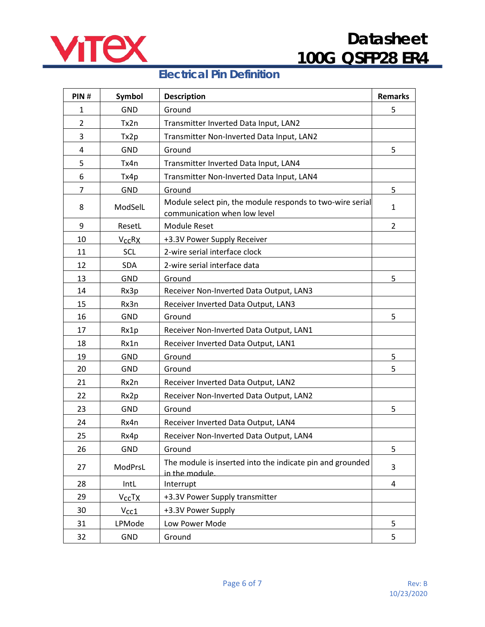

#### **Electrical Pin Definition**

| PIN#           | Symbol                             | <b>Description</b>                                                                        | <b>Remarks</b> |
|----------------|------------------------------------|-------------------------------------------------------------------------------------------|----------------|
| $\mathbf{1}$   | <b>GND</b>                         | Ground                                                                                    | 5              |
| $\overline{2}$ | Tx2n                               | Transmitter Inverted Data Input, LAN2                                                     |                |
| 3              | Tx2p                               | Transmitter Non-Inverted Data Input, LAN2                                                 |                |
| 4              | <b>GND</b>                         | Ground                                                                                    | 5              |
| 5              | Tx4n                               | Transmitter Inverted Data Input, LAN4                                                     |                |
| 6              | Tx4p                               | Transmitter Non-Inverted Data Input, LAN4                                                 |                |
| $\overline{7}$ | <b>GND</b>                         | Ground                                                                                    | 5              |
| 8              | ModSelL                            | Module select pin, the module responds to two-wire serial<br>communication when low level | $\mathbf{1}$   |
| 9              | ResetL                             | <b>Module Reset</b>                                                                       | $\overline{2}$ |
| 10             | <b>V<sub>CC</sub>R<sub>X</sub></b> | +3.3V Power Supply Receiver                                                               |                |
| 11             | SCL                                | 2-wire serial interface clock                                                             |                |
| 12             | <b>SDA</b>                         | 2-wire serial interface data                                                              |                |
| 13             | <b>GND</b>                         | Ground                                                                                    | 5              |
| 14             | Rx3p                               | Receiver Non-Inverted Data Output, LAN3                                                   |                |
| 15             | Rx3n                               | Receiver Inverted Data Output, LAN3                                                       |                |
| 16             | <b>GND</b>                         | Ground                                                                                    | 5              |
| 17             | Rx1p                               | Receiver Non-Inverted Data Output, LAN1                                                   |                |
| 18             | Rx1n                               | Receiver Inverted Data Output, LAN1                                                       |                |
| 19             | <b>GND</b>                         | Ground                                                                                    | 5              |
| 20             | <b>GND</b>                         | Ground                                                                                    | 5              |
| 21             | Rx2n                               | Receiver Inverted Data Output, LAN2                                                       |                |
| 22             | Rx2p                               | Receiver Non-Inverted Data Output, LAN2                                                   |                |
| 23             | <b>GND</b>                         | Ground                                                                                    | 5              |
| 24             | Rx4n                               | Receiver Inverted Data Output, LAN4                                                       |                |
| 25             | Rx4p                               | Receiver Non-Inverted Data Output, LAN4                                                   |                |
| 26             | <b>GND</b>                         | Ground                                                                                    | 5              |
| 27             | ModPrsL                            | The module is inserted into the indicate pin and grounded<br>in the module                | 3              |
| 28             | IntL                               | Interrupt                                                                                 | 4              |
| 29             | V <sub>cc</sub> T <sub>X</sub>     | +3.3V Power Supply transmitter                                                            |                |
| 30             | $V_{\text{CC}}1$                   | +3.3V Power Supply                                                                        |                |
| 31             | LPMode                             | Low Power Mode                                                                            | 5              |
| 32             | <b>GND</b>                         | Ground                                                                                    | 5              |